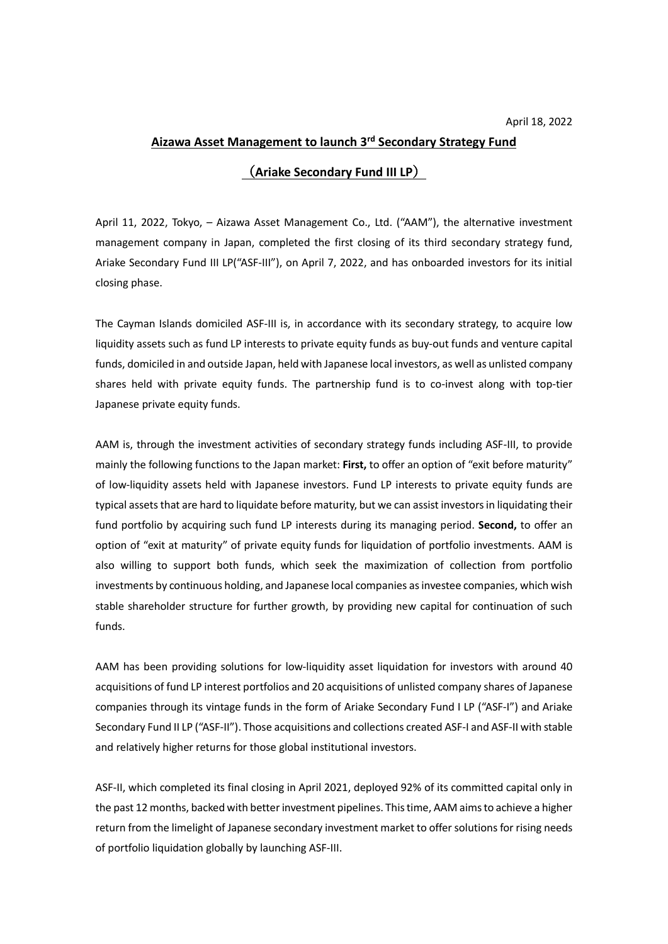## **Aizawa Asset Management to launch 3rd Secondary Strategy Fund**

## (**Ariake Secondary Fund III LP**)

April 11, 2022, Tokyo, – Aizawa Asset Management Co., Ltd. ("AAM"), the alternative investment management company in Japan, completed the first closing of its third secondary strategy fund, Ariake Secondary Fund III LP("ASF-III"), on April 7, 2022, and has onboarded investors for its initial closing phase.

The Cayman Islands domiciled ASF-III is, in accordance with its secondary strategy, to acquire low liquidity assets such as fund LP interests to private equity funds as buy-out funds and venture capital funds, domiciled in and outside Japan, held with Japanese local investors, as well as unlisted company shares held with private equity funds. The partnership fund is to co-invest along with top-tier Japanese private equity funds.

AAM is, through the investment activities of secondary strategy funds including ASF-III, to provide mainly the following functions to the Japan market: **First,** to offer an option of "exit before maturity" of low-liquidity assets held with Japanese investors. Fund LP interests to private equity funds are typical assets that are hard to liquidate before maturity, but we can assist investors in liquidating their fund portfolio by acquiring such fund LP interests during its managing period. **Second,** to offer an option of "exit at maturity" of private equity funds for liquidation of portfolio investments. AAM is also willing to support both funds, which seek the maximization of collection from portfolio investments by continuous holding, and Japanese local companies as investee companies, which wish stable shareholder structure for further growth, by providing new capital for continuation of such funds.

AAM has been providing solutions for low-liquidity asset liquidation for investors with around 40 acquisitions of fund LP interest portfolios and 20 acquisitions of unlisted company shares of Japanese companies through its vintage funds in the form of Ariake Secondary Fund I LP ("ASF-I") and Ariake Secondary Fund II LP ("ASF-II"). Those acquisitions and collections created ASF-I and ASF-II with stable and relatively higher returns for those global institutional investors.

ASF-II, which completed its final closing in April 2021, deployed 92% of its committed capital only in the past 12 months, backed with better investment pipelines. This time, AAM aims to achieve a higher return from the limelight of Japanese secondary investment market to offer solutions for rising needs of portfolio liquidation globally by launching ASF-III.